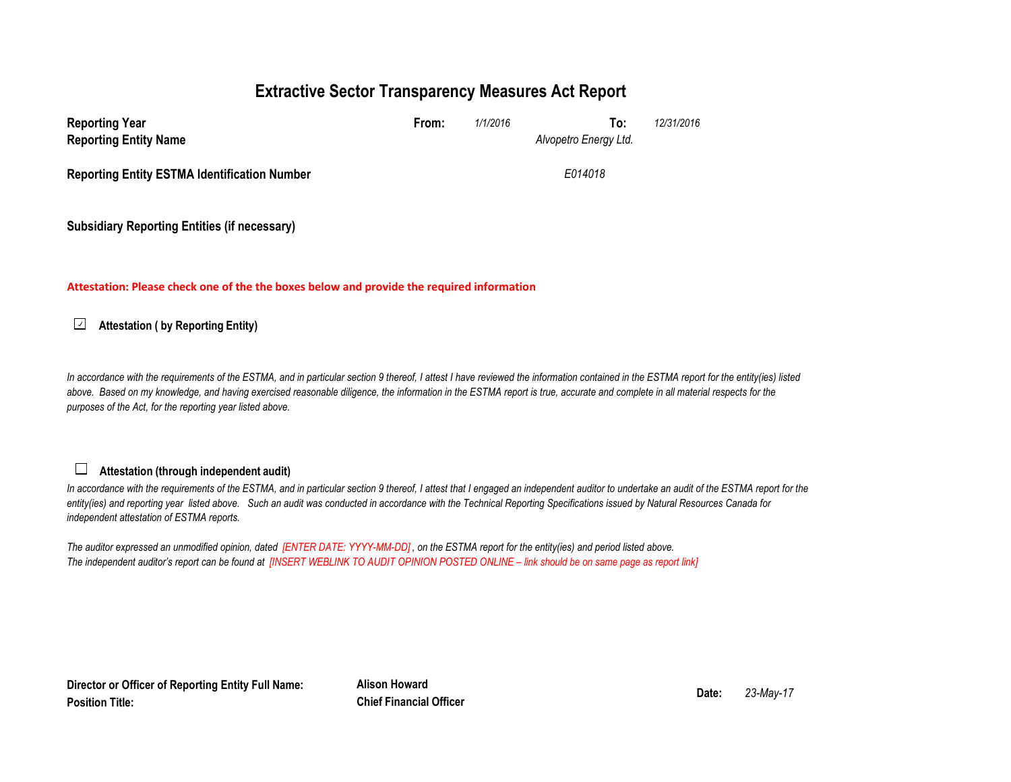## **Extractive Sector Transparency Measures Act Report**

| <b>Reporting Year</b>                               | From: | 1/1/2016 | To:                   | 12/31/2016 |
|-----------------------------------------------------|-------|----------|-----------------------|------------|
| <b>Reporting Entity Name</b>                        |       |          | Alvopetro Energy Ltd. |            |
| <b>Reporting Entity ESTMA Identification Number</b> |       |          | E014018               |            |
|                                                     |       |          |                       |            |

**Subsidiary Reporting Entities (if necessary)**

**Attestation: Please check one of the the boxes below and provide the required information**

 $\sqrt{2}$ **Attestation ( by Reporting Entity)**

In accordance with the requirements of the ESTMA, and in particular section 9 thereof, I attest I have reviewed the information contained in the ESTMA report for the entity(ies) listed above. Based on my knowledge, and having exercised reasonable diligence, the information in the ESTMA report is true, accurate and complete in all material respects for the *purposes of the Act, for the reporting year listed above.* 

## **Attestation (through independent audit)**

In accordance with the requirements of the ESTMA, and in particular section 9 thereof, I attest that I engaged an independent auditor to undertake an audit of the ESTMA report for the *entity(ies) and reporting year listed above. Such an audit was conducted in accordance with the Technical Reporting Specifications issued by Natural Resources Canada for independent attestation of ESTMA reports.* 

*The auditor expressed an unmodified opinion, dated [ENTER DATE: YYYY-MM-DD] , on the ESTMA report for the entity(ies) and period listed above. The independent auditor's report can be found at [INSERT WEBLINK TO AUDIT OPINION POSTED ONLINE – link should be on same page as report link]* 

**Director or Officer of Reporting Entity Full Name:Position Title:**

**Alison Howard Date:Chief Financial Officer**

*23-May-17*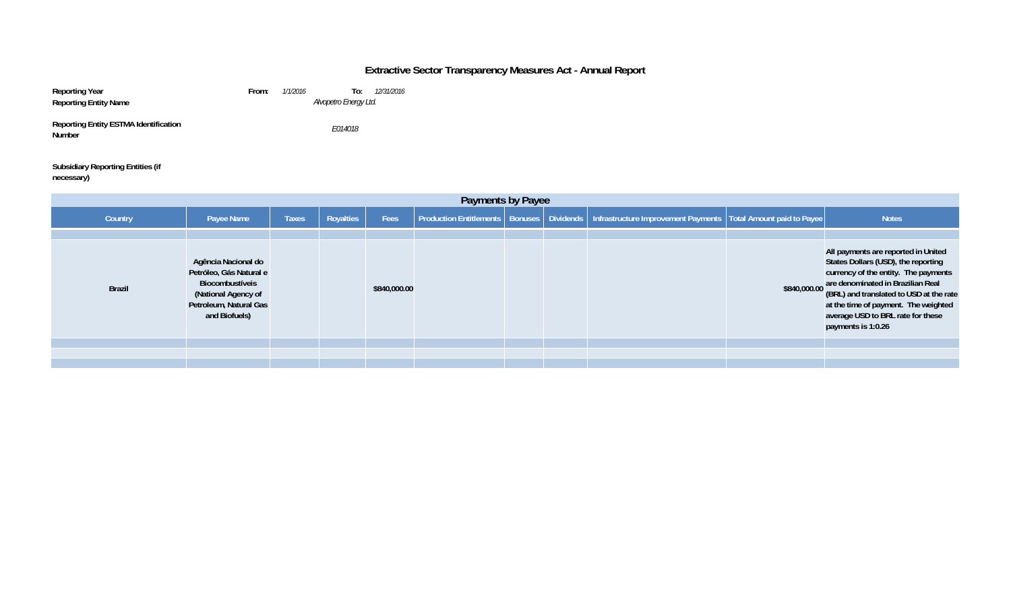## **Extractive Sector Transparency Measures Act - Annual Report**

| Reporting Year                                         | From:                 | 1/1/2016 | 12/31/2016<br>To:     |  |  |
|--------------------------------------------------------|-----------------------|----------|-----------------------|--|--|
| <b>Reporting Entity Name</b>                           | Alvopetro Energy Ltd. |          |                       |  |  |
| <b>Reporting Entity ESTMA Identification</b><br>Number |                       |          | <i><b>F014018</b></i> |  |  |

**Subsidiary Reporting Entities (if necessary)**

| Payments by Payee |                                                                                                                                     |              |           |              |  |  |  |                                                                                                                  |                                                                                                                                                                                                                                                                                                                     |
|-------------------|-------------------------------------------------------------------------------------------------------------------------------------|--------------|-----------|--------------|--|--|--|------------------------------------------------------------------------------------------------------------------|---------------------------------------------------------------------------------------------------------------------------------------------------------------------------------------------------------------------------------------------------------------------------------------------------------------------|
| Country           | Payee Name                                                                                                                          | <b>Taxes</b> | Royalties | Fees         |  |  |  | Production Entitlements   Bonuses   Dividends   Infrastructure Improvement Payments   Total Amount paid to Payee | <b>Notes</b>                                                                                                                                                                                                                                                                                                        |
|                   |                                                                                                                                     |              |           |              |  |  |  |                                                                                                                  |                                                                                                                                                                                                                                                                                                                     |
| <b>Brazil</b>     | Agência Nacional do<br>Petróleo, Gás Natural e<br>Biocombustíveis<br>(National Agency of<br>Petroleum, Natural Gas<br>and Biofuels) |              |           | \$840,000.00 |  |  |  |                                                                                                                  | All payments are reported in United<br>States Dollars (USD), the reporting<br>currency of the entity. The payments<br>$$840,000.00$ are denominated in Brazilian Real<br>(BRL) and translated to USD at the rate<br>at the time of payment. The weighted<br>average USD to BRL rate for these<br>payments is 1:0.26 |
|                   |                                                                                                                                     |              |           |              |  |  |  |                                                                                                                  |                                                                                                                                                                                                                                                                                                                     |
|                   |                                                                                                                                     |              |           |              |  |  |  |                                                                                                                  |                                                                                                                                                                                                                                                                                                                     |
|                   |                                                                                                                                     |              |           |              |  |  |  |                                                                                                                  |                                                                                                                                                                                                                                                                                                                     |